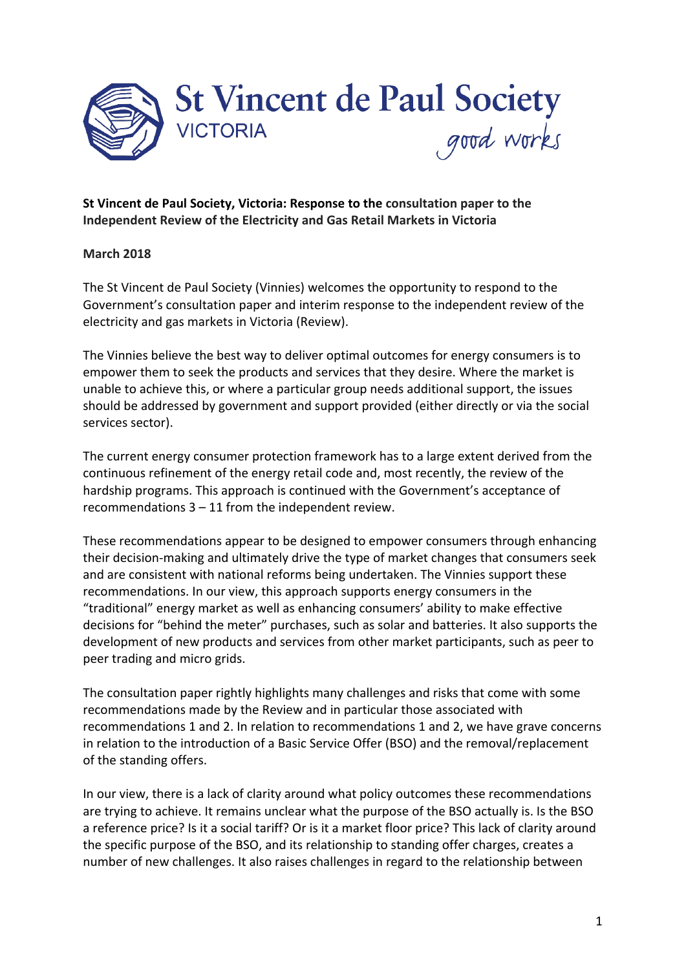

# **St Vincent de Paul Society, Victoria: Response to the consultation paper to the Independent Review of the Electricity and Gas Retail Markets in Victoria**

## **March 2018**

The St Vincent de Paul Society (Vinnies) welcomes the opportunity to respond to the Government's consultation paper and interim response to the independent review of the electricity and gas markets in Victoria (Review).

The Vinnies believe the best way to deliver optimal outcomes for energy consumers is to empower them to seek the products and services that they desire. Where the market is unable to achieve this, or where a particular group needs additional support, the issues should be addressed by government and support provided (either directly or via the social services sector).

The current energy consumer protection framework has to a large extent derived from the continuous refinement of the energy retail code and, most recently, the review of the hardship programs. This approach is continued with the Government's acceptance of recommendations  $3 - 11$  from the independent review.

These recommendations appear to be designed to empower consumers through enhancing their decision-making and ultimately drive the type of market changes that consumers seek and are consistent with national reforms being undertaken. The Vinnies support these recommendations. In our view, this approach supports energy consumers in the "traditional" energy market as well as enhancing consumers' ability to make effective decisions for "behind the meter" purchases, such as solar and batteries. It also supports the development of new products and services from other market participants, such as peer to peer trading and micro grids.

The consultation paper rightly highlights many challenges and risks that come with some recommendations made by the Review and in particular those associated with recommendations 1 and 2. In relation to recommendations 1 and 2, we have grave concerns in relation to the introduction of a Basic Service Offer (BSO) and the removal/replacement of the standing offers.

In our view, there is a lack of clarity around what policy outcomes these recommendations are trying to achieve. It remains unclear what the purpose of the BSO actually is. Is the BSO a reference price? Is it a social tariff? Or is it a market floor price? This lack of clarity around the specific purpose of the BSO, and its relationship to standing offer charges, creates a number of new challenges. It also raises challenges in regard to the relationship between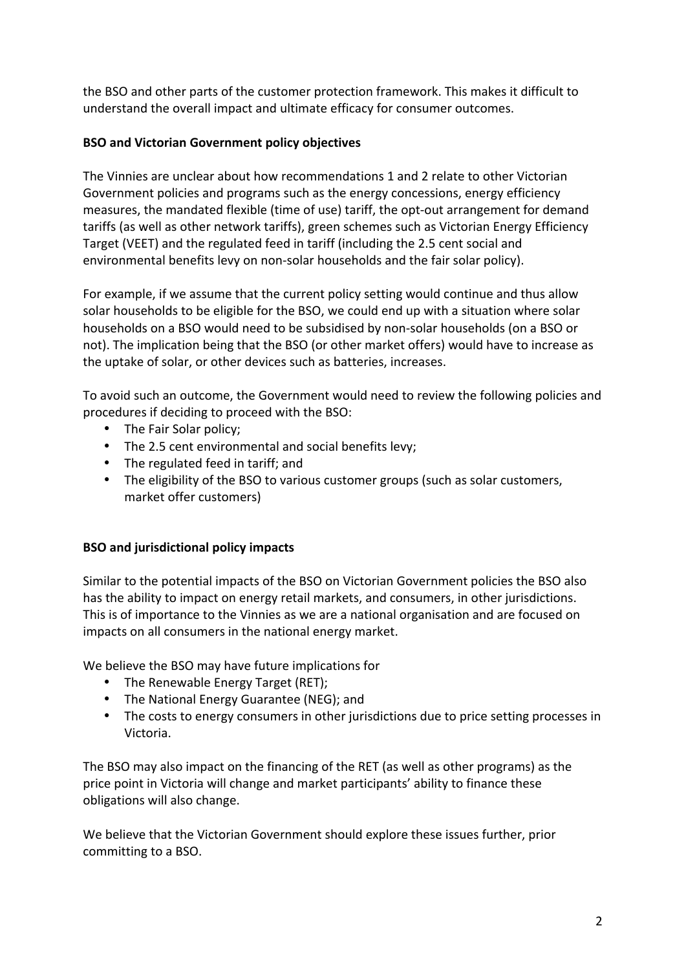the BSO and other parts of the customer protection framework. This makes it difficult to understand the overall impact and ultimate efficacy for consumer outcomes.

# **BSO and Victorian Government policy objectives**

The Vinnies are unclear about how recommendations 1 and 2 relate to other Victorian Government policies and programs such as the energy concessions, energy efficiency measures, the mandated flexible (time of use) tariff, the opt-out arrangement for demand tariffs (as well as other network tariffs), green schemes such as Victorian Energy Efficiency Target (VEET) and the regulated feed in tariff (including the 2.5 cent social and environmental benefits levy on non-solar households and the fair solar policy).

For example, if we assume that the current policy setting would continue and thus allow solar households to be eligible for the BSO, we could end up with a situation where solar households on a BSO would need to be subsidised by non-solar households (on a BSO or not). The implication being that the BSO (or other market offers) would have to increase as the uptake of solar, or other devices such as batteries, increases.

To avoid such an outcome, the Government would need to review the following policies and procedures if deciding to proceed with the BSO:

- The Fair Solar policy:
- The 2.5 cent environmental and social benefits levy;
- The regulated feed in tariff; and
- The eligibility of the BSO to various customer groups (such as solar customers, market offer customers)

# **BSO** and jurisdictional policy impacts

Similar to the potential impacts of the BSO on Victorian Government policies the BSO also has the ability to impact on energy retail markets, and consumers, in other jurisdictions. This is of importance to the Vinnies as we are a national organisation and are focused on impacts on all consumers in the national energy market.

We believe the BSO may have future implications for

- The Renewable Energy Target (RET);
- The National Energy Guarantee (NEG); and
- The costs to energy consumers in other jurisdictions due to price setting processes in Victoria.

The BSO may also impact on the financing of the RET (as well as other programs) as the price point in Victoria will change and market participants' ability to finance these obligations will also change.

We believe that the Victorian Government should explore these issues further, prior committing to a BSO.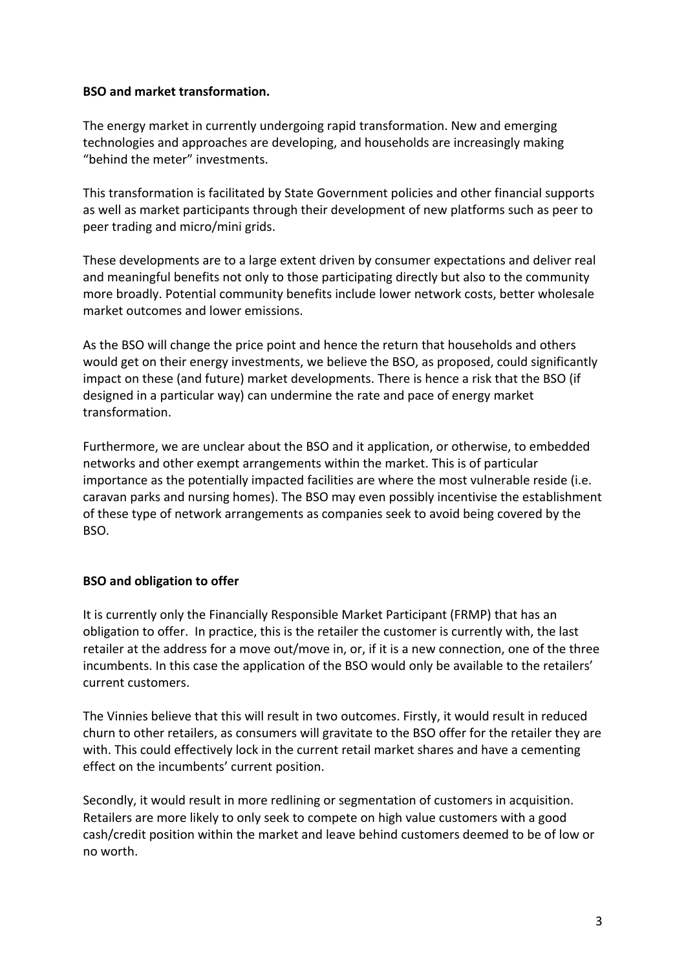#### **BSO** and market transformation.

The energy market in currently undergoing rapid transformation. New and emerging technologies and approaches are developing, and households are increasingly making "behind the meter" investments.

This transformation is facilitated by State Government policies and other financial supports as well as market participants through their development of new platforms such as peer to peer trading and micro/mini grids.

These developments are to a large extent driven by consumer expectations and deliver real and meaningful benefits not only to those participating directly but also to the community more broadly. Potential community benefits include lower network costs, better wholesale market outcomes and lower emissions.

As the BSO will change the price point and hence the return that households and others would get on their energy investments, we believe the BSO, as proposed, could significantly impact on these (and future) market developments. There is hence a risk that the BSO (if designed in a particular way) can undermine the rate and pace of energy market transformation. 

Furthermore, we are unclear about the BSO and it application, or otherwise, to embedded networks and other exempt arrangements within the market. This is of particular importance as the potentially impacted facilities are where the most vulnerable reside (i.e. caravan parks and nursing homes). The BSO may even possibly incentivise the establishment of these type of network arrangements as companies seek to avoid being covered by the BSO. 

## **BSO** and obligation to offer

It is currently only the Financially Responsible Market Participant (FRMP) that has an obligation to offer. In practice, this is the retailer the customer is currently with, the last retailer at the address for a move out/move in, or, if it is a new connection, one of the three incumbents. In this case the application of the BSO would only be available to the retailers' current customers.

The Vinnies believe that this will result in two outcomes. Firstly, it would result in reduced churn to other retailers, as consumers will gravitate to the BSO offer for the retailer they are with. This could effectively lock in the current retail market shares and have a cementing effect on the incumbents' current position.

Secondly, it would result in more redlining or segmentation of customers in acquisition. Retailers are more likely to only seek to compete on high value customers with a good cash/credit position within the market and leave behind customers deemed to be of low or no worth.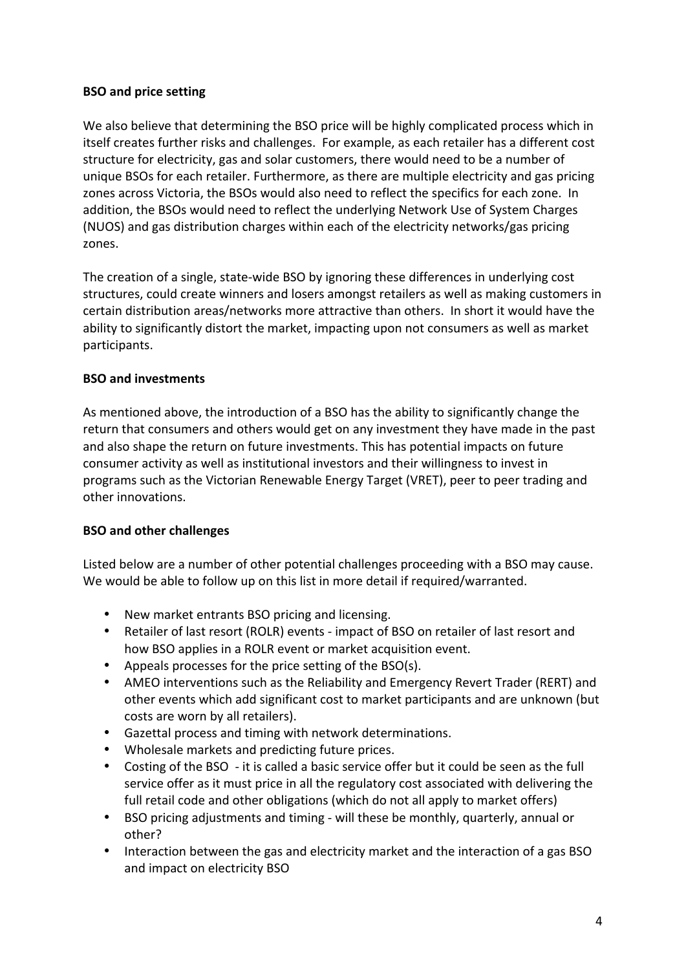# **BSO** and price setting

We also believe that determining the BSO price will be highly complicated process which in itself creates further risks and challenges. For example, as each retailer has a different cost structure for electricity, gas and solar customers, there would need to be a number of unique BSOs for each retailer. Furthermore, as there are multiple electricity and gas pricing zones across Victoria, the BSOs would also need to reflect the specifics for each zone. In addition, the BSOs would need to reflect the underlying Network Use of System Charges (NUOS) and gas distribution charges within each of the electricity networks/gas pricing zones. 

The creation of a single, state-wide BSO by ignoring these differences in underlying cost structures, could create winners and losers amongst retailers as well as making customers in certain distribution areas/networks more attractive than others. In short it would have the ability to significantly distort the market, impacting upon not consumers as well as market participants. 

# **BSO** and investments

As mentioned above, the introduction of a BSO has the ability to significantly change the return that consumers and others would get on any investment they have made in the past and also shape the return on future investments. This has potential impacts on future consumer activity as well as institutional investors and their willingness to invest in programs such as the Victorian Renewable Energy Target (VRET), peer to peer trading and other innovations.

## **BSO** and other challenges

Listed below are a number of other potential challenges proceeding with a BSO may cause. We would be able to follow up on this list in more detail if required/warranted.

- New market entrants BSO pricing and licensing.
- Retailer of last resort (ROLR) events impact of BSO on retailer of last resort and how BSO applies in a ROLR event or market acquisition event.
- Appeals processes for the price setting of the  $BSO(s)$ .
- AMEO interventions such as the Reliability and Emergency Revert Trader (RERT) and other events which add significant cost to market participants and are unknown (but costs are worn by all retailers).
- Gazettal process and timing with network determinations.
- Wholesale markets and predicting future prices.
- Costing of the BSO it is called a basic service offer but it could be seen as the full service offer as it must price in all the regulatory cost associated with delivering the full retail code and other obligations (which do not all apply to market offers)
- BSO pricing adjustments and timing will these be monthly, quarterly, annual or other?
- Interaction between the gas and electricity market and the interaction of a gas BSO and impact on electricity BSO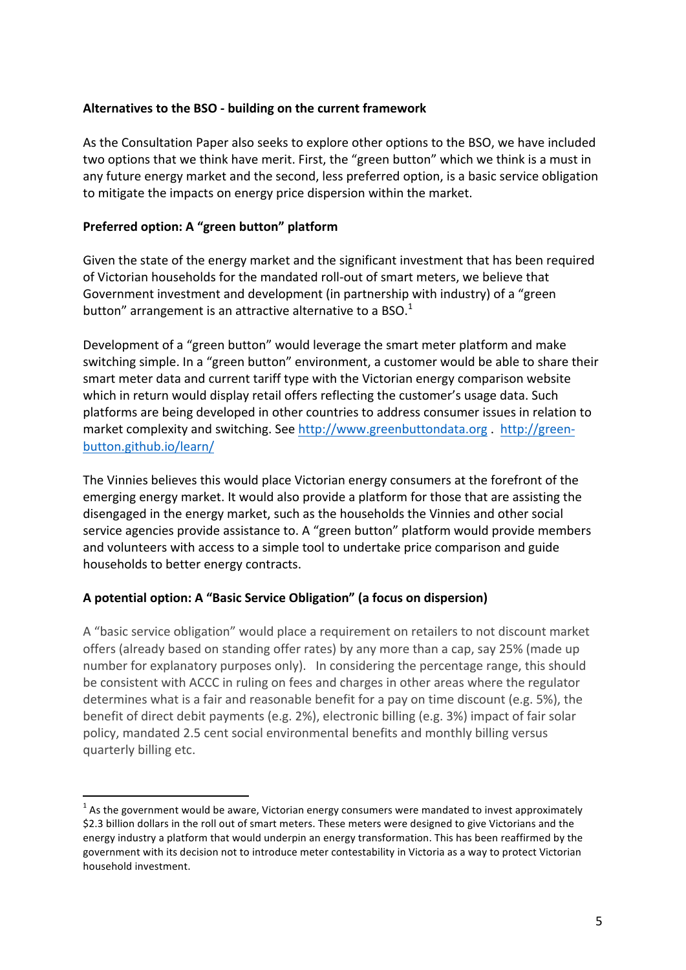#### Alternatives to the BSO - building on the current framework

As the Consultation Paper also seeks to explore other options to the BSO, we have included two options that we think have merit. First, the "green button" which we think is a must in any future energy market and the second, less preferred option, is a basic service obligation to mitigate the impacts on energy price dispersion within the market.

#### **Preferred option: A "green button" platform**

Given the state of the energy market and the significant investment that has been required of Victorian households for the mandated roll-out of smart meters, we believe that Government investment and development (in partnership with industry) of a "green button" arrangement is an attractive alternative to a BSO.<sup>1</sup>

Development of a "green button" would leverage the smart meter platform and make switching simple. In a "green button" environment, a customer would be able to share their smart meter data and current tariff type with the Victorian energy comparison website which in return would display retail offers reflecting the customer's usage data. Such platforms are being developed in other countries to address consumer issues in relation to market complexity and switching. See http://www.greenbuttondata.org . http://greenbutton.github.io/learn/

The Vinnies believes this would place Victorian energy consumers at the forefront of the emerging energy market. It would also provide a platform for those that are assisting the disengaged in the energy market, such as the households the Vinnies and other social service agencies provide assistance to. A "green button" platform would provide members and volunteers with access to a simple tool to undertake price comparison and guide households to better energy contracts.

## A potential option: A "Basic Service Obligation" (a focus on dispersion)

A "basic service obligation" would place a requirement on retailers to not discount market offers (already based on standing offer rates) by any more than a cap, say 25% (made up number for explanatory purposes only). In considering the percentage range, this should be consistent with ACCC in ruling on fees and charges in other areas where the regulator determines what is a fair and reasonable benefit for a pay on time discount (e.g. 5%), the benefit of direct debit payments (e.g. 2%), electronic billing (e.g. 3%) impact of fair solar policy, mandated 2.5 cent social environmental benefits and monthly billing versus quarterly billing etc.

 $1$  As the government would be aware, Victorian energy consumers were mandated to invest approximately \$2.3 billion dollars in the roll out of smart meters. These meters were designed to give Victorians and the energy industry a platform that would underpin an energy transformation. This has been reaffirmed by the government with its decision not to introduce meter contestability in Victoria as a way to protect Victorian household investment.